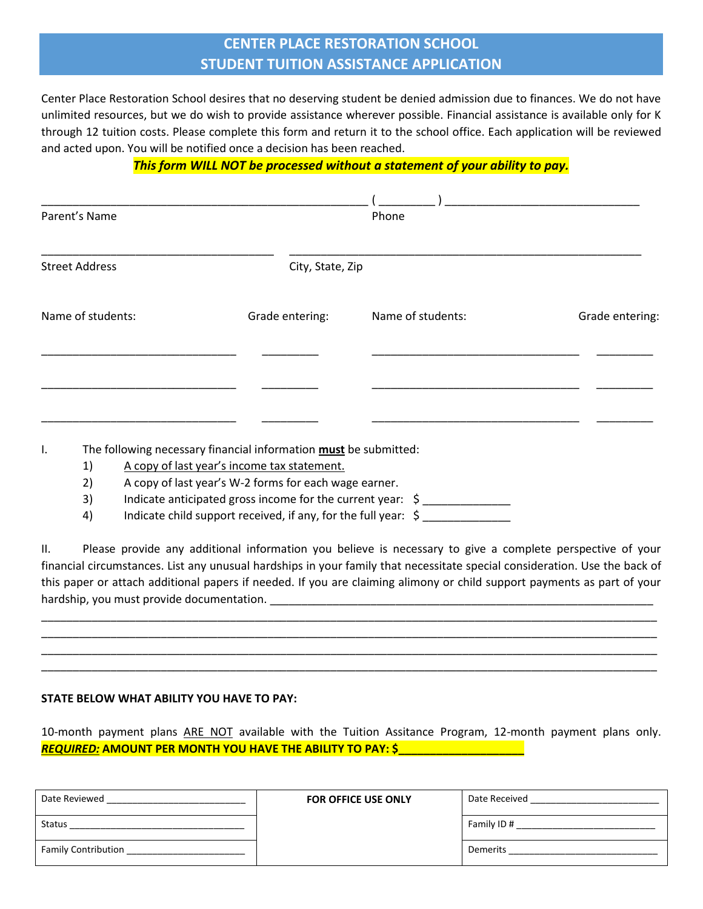## **CENTER PLACE RESTORATION SCHOOL STUDENT TUITION ASSISTANCE APPLICATION**

Center Place Restoration School desires that no deserving student be denied admission due to finances. We do not have unlimited resources, but we do wish to provide assistance wherever possible. Financial assistance is available only for K through 12 tuition costs. Please complete this form and return it to the school office. Each application will be reviewed and acted upon. You will be notified once a decision has been reached.

## *This form WILL NOT be processed without a statement of your ability to pay.*

| Parent's Name         |                                                                                                                 | Phone             |                 |
|-----------------------|-----------------------------------------------------------------------------------------------------------------|-------------------|-----------------|
| <b>Street Address</b> | City, State, Zip                                                                                                |                   |                 |
| Name of students:     | Grade entering:                                                                                                 | Name of students: | Grade entering: |
|                       |                                                                                                                 |                   |                 |
| I.<br>1)              | The following necessary financial information must be submitted:<br>A copy of last year's income tax statement. |                   |                 |

2) A copy of last year's W-2 forms for each wage earner.

3) Indicate anticipated gross income for the current year: \$ \_\_\_\_\_\_\_\_\_\_\_\_\_\_\_\_\_\_\_

4) Indicate child support received, if any, for the full year: \$

II. Please provide any additional information you believe is necessary to give a complete perspective of your financial circumstances. List any unusual hardships in your family that necessitate special consideration. Use the back of this paper or attach additional papers if needed. If you are claiming alimony or child support payments as part of your hardship, you must provide documentation. \_\_\_\_\_\_\_\_\_\_\_\_\_\_\_\_\_\_\_\_\_\_\_\_\_\_\_\_\_\_\_\_\_\_\_\_\_\_\_\_\_\_\_\_\_\_\_\_\_\_\_\_\_\_\_\_\_\_\_\_\_

\_\_\_\_\_\_\_\_\_\_\_\_\_\_\_\_\_\_\_\_\_\_\_\_\_\_\_\_\_\_\_\_\_\_\_\_\_\_\_\_\_\_\_\_\_\_\_\_\_\_\_\_\_\_\_\_\_\_\_\_\_\_\_\_\_\_\_\_\_\_\_\_\_\_\_\_\_\_\_\_\_\_\_\_\_\_\_\_\_\_\_\_\_\_\_\_\_\_ \_\_\_\_\_\_\_\_\_\_\_\_\_\_\_\_\_\_\_\_\_\_\_\_\_\_\_\_\_\_\_\_\_\_\_\_\_\_\_\_\_\_\_\_\_\_\_\_\_\_\_\_\_\_\_\_\_\_\_\_\_\_\_\_\_\_\_\_\_\_\_\_\_\_\_\_\_\_\_\_\_\_\_\_\_\_\_\_\_\_\_\_\_\_\_\_\_\_ \_\_\_\_\_\_\_\_\_\_\_\_\_\_\_\_\_\_\_\_\_\_\_\_\_\_\_\_\_\_\_\_\_\_\_\_\_\_\_\_\_\_\_\_\_\_\_\_\_\_\_\_\_\_\_\_\_\_\_\_\_\_\_\_\_\_\_\_\_\_\_\_\_\_\_\_\_\_\_\_\_\_\_\_\_\_\_\_\_\_\_\_\_\_\_\_\_\_ \_\_\_\_\_\_\_\_\_\_\_\_\_\_\_\_\_\_\_\_\_\_\_\_\_\_\_\_\_\_\_\_\_\_\_\_\_\_\_\_\_\_\_\_\_\_\_\_\_\_\_\_\_\_\_\_\_\_\_\_\_\_\_\_\_\_\_\_\_\_\_\_\_\_\_\_\_\_\_\_\_\_\_\_\_\_\_\_\_\_\_\_\_\_\_\_\_\_

## **STATE BELOW WHAT ABILITY YOU HAVE TO PAY:**

10-month payment plans ARE NOT available with the Tuition Assitance Program, 12-month payment plans only. *REQUIRED:* **AMOUNT PER MONTH YOU HAVE THE ABILITY TO PAY: \$\_\_\_\_\_\_\_\_\_\_\_\_\_\_\_\_\_\_\_\_**

| Date Reviewed              | <b>FOR OFFICE USE ONLY</b> | Date Received |
|----------------------------|----------------------------|---------------|
| <b>Status</b>              |                            | Family ID#    |
| <b>Family Contribution</b> |                            | Demerits      |